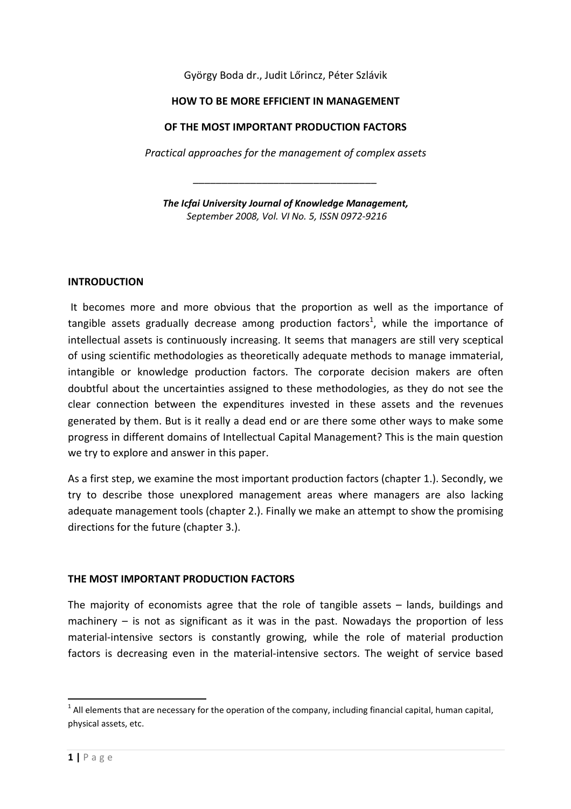György Boda dr., Judit Lőrincz, Péter Szlávik

#### HOW TO BE MORE EFFICIENT IN MANAGEMENT

#### OF THE MOST IMPORTANT PRODUCTION FACTORS

Practical approaches for the management of complex assets

The Icfai University Journal of Knowledge Management, September 2008, Vol. VI No. 5, ISSN 0972-9216

\_\_\_\_\_\_\_\_\_\_\_\_\_\_\_\_\_\_\_\_\_\_\_\_\_\_\_\_\_\_\_\_

#### INTRODUCTION

 It becomes more and more obvious that the proportion as well as the importance of tangible assets gradually decrease among production factors<sup>1</sup>, while the importance of intellectual assets is continuously increasing. It seems that managers are still very sceptical of using scientific methodologies as theoretically adequate methods to manage immaterial, intangible or knowledge production factors. The corporate decision makers are often doubtful about the uncertainties assigned to these methodologies, as they do not see the clear connection between the expenditures invested in these assets and the revenues generated by them. But is it really a dead end or are there some other ways to make some progress in different domains of Intellectual Capital Management? This is the main question we try to explore and answer in this paper.

As a first step, we examine the most important production factors (chapter 1.). Secondly, we try to describe those unexplored management areas where managers are also lacking adequate management tools (chapter 2.). Finally we make an attempt to show the promising directions for the future (chapter 3.).

#### THE MOST IMPORTANT PRODUCTION FACTORS

The majority of economists agree that the role of tangible assets – lands, buildings and machinery  $-$  is not as significant as it was in the past. Nowadays the proportion of less material-intensive sectors is constantly growing, while the role of material production factors is decreasing even in the material-intensive sectors. The weight of service based

 $1$  All elements that are necessary for the operation of the company, including financial capital, human capital, physical assets, etc.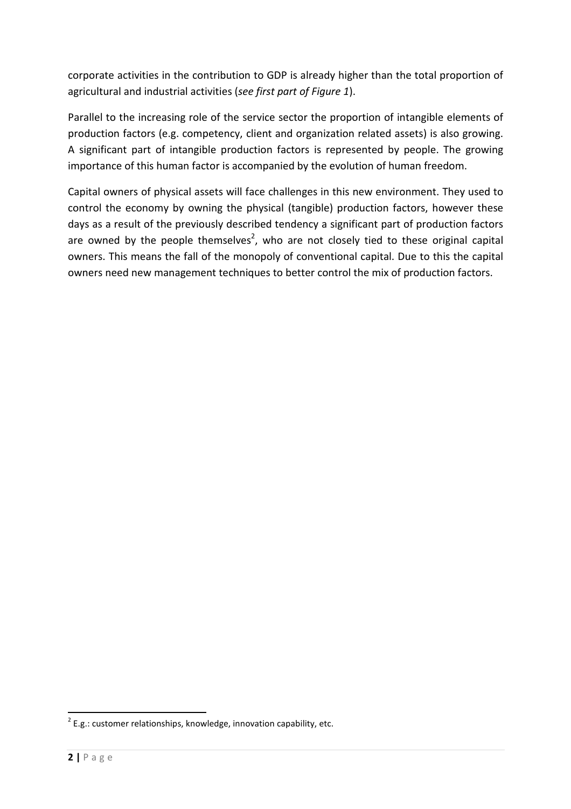corporate activities in the contribution to GDP is already higher than the total proportion of agricultural and industrial activities (see first part of Figure 1).

Parallel to the increasing role of the service sector the proportion of intangible elements of production factors (e.g. competency, client and organization related assets) is also growing. A significant part of intangible production factors is represented by people. The growing importance of this human factor is accompanied by the evolution of human freedom.

Capital owners of physical assets will face challenges in this new environment. They used to control the economy by owning the physical (tangible) production factors, however these days as a result of the previously described tendency a significant part of production factors are owned by the people themselves<sup>2</sup>, who are not closely tied to these original capital owners. This means the fall of the monopoly of conventional capital. Due to this the capital owners need new management techniques to better control the mix of production factors.

 $\overline{a}$ 

 $2$  E.g.: customer relationships, knowledge, innovation capability, etc.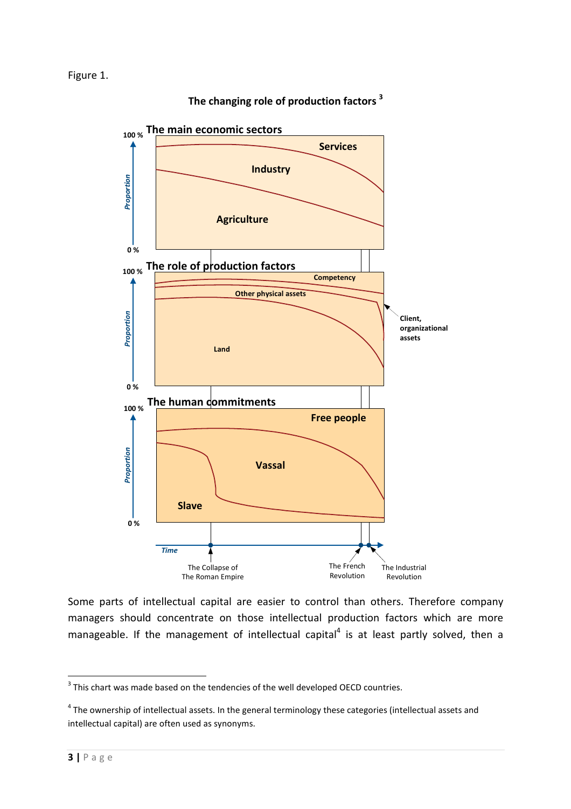

The changing role of production factors<sup>3</sup>

Some parts of intellectual capital are easier to control than others. Therefore company managers should concentrate on those intellectual production factors which are more manageable. If the management of intellectual capital<sup>4</sup> is at least partly solved, then a

 $3$  This chart was made based on the tendencies of the well developed OECD countries.

 $<sup>4</sup>$  The ownership of intellectual assets. In the general terminology these categories (intellectual assets and</sup> intellectual capital) are often used as synonyms.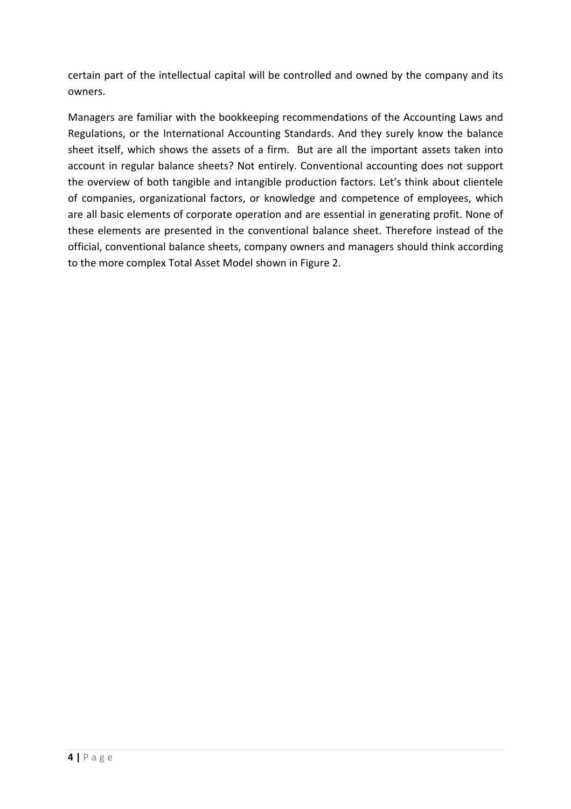certain part of the intellectual capital will be controlled and owned by the company and its owners.

Managers are familiar with the bookkeeping recommendations of the Accounting Laws and Regulations, or the International Accounting Standards. And they surely know the balance sheet itself, which shows the assets of a firm. But are all the important assets taken into account in regular balance sheets? Not entirely. Conventional accounting does not support the overview of both tangible and intangible production factors. Let's think about clientele of companies, organizational factors, or knowledge and competence of employees, which are all basic elements of corporate operation and are essential in generating profit. None of these elements are presented in the conventional balance sheet. Therefore instead of the official, conventional balance sheets, company owners and managers should think according to the more complex Total Asset Model shown in Figure 2.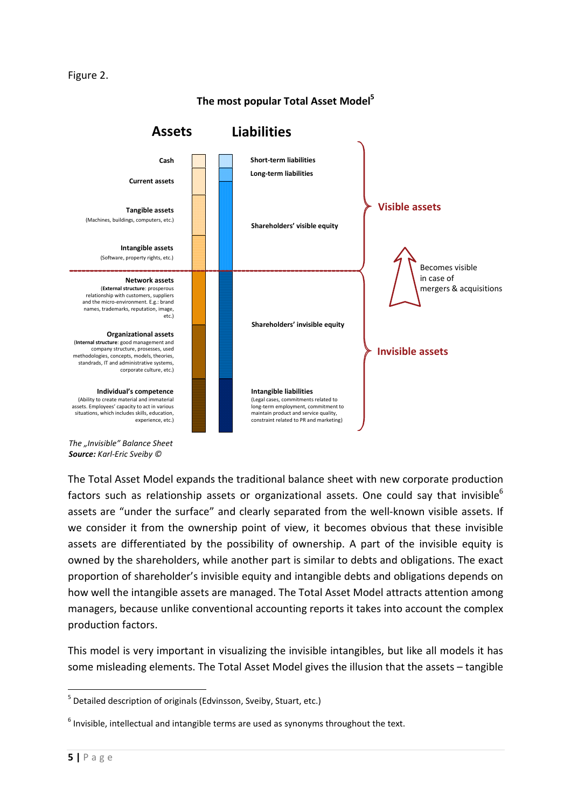#### Figure 2.



The most popular Total Asset Model<sup>5</sup>

The "Invisible" Balance Sheet Source: Karl-Eric Sveiby ©

The Total Asset Model expands the traditional balance sheet with new corporate production factors such as relationship assets or organizational assets. One could say that invisible<sup>6</sup> assets are "under the surface" and clearly separated from the well-known visible assets. If we consider it from the ownership point of view, it becomes obvious that these invisible assets are differentiated by the possibility of ownership. A part of the invisible equity is owned by the shareholders, while another part is similar to debts and obligations. The exact proportion of shareholder's invisible equity and intangible debts and obligations depends on how well the intangible assets are managed. The Total Asset Model attracts attention among managers, because unlike conventional accounting reports it takes into account the complex production factors.

This model is very important in visualizing the invisible intangibles, but like all models it has some misleading elements. The Total Asset Model gives the illusion that the assets – tangible

<sup>&</sup>lt;sup>5</sup> Detailed description of originals (Edvinsson, Sveiby, Stuart, etc.)

 $<sup>6</sup>$  Invisible, intellectual and intangible terms are used as synonyms throughout the text.</sup>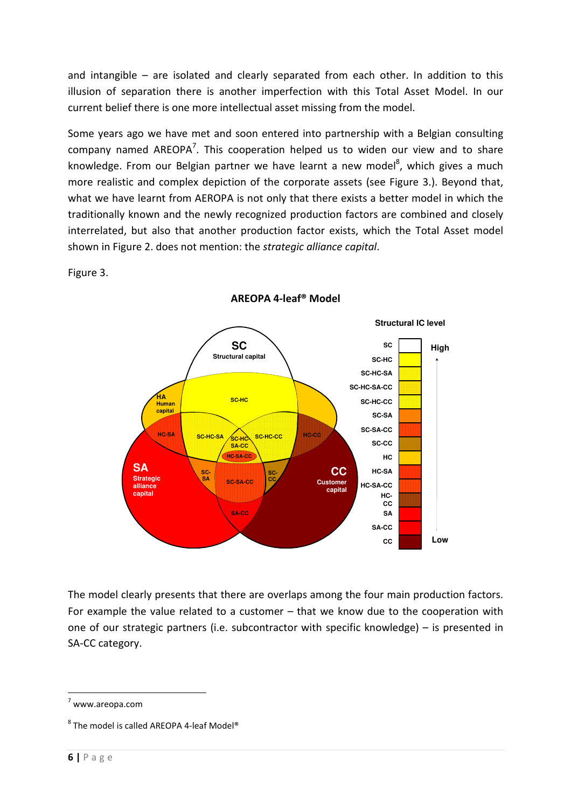and intangible – are isolated and clearly separated from each other. In addition to this illusion of separation there is another imperfection with this Total Asset Model. In our current belief there is one more intellectual asset missing from the model.

Some years ago we have met and soon entered into partnership with a Belgian consulting company named AREOPA<sup>7</sup>. This cooperation helped us to widen our view and to share knowledge. From our Belgian partner we have learnt a new model<sup>8</sup>, which gives a much more realistic and complex depiction of the corporate assets (see Figure 3.). Beyond that, what we have learnt from AEROPA is not only that there exists a better model in which the traditionally known and the newly recognized production factors are combined and closely interrelated, but also that another production factor exists, which the Total Asset model shown in Figure 2. does not mention: the strategic alliance capital.

Figure 3.



AREOPA 4-leaf® Model

The model clearly presents that there are overlaps among the four main production factors. For example the value related to a customer – that we know due to the cooperation with one of our strategic partners (i.e. subcontractor with specific knowledge) – is presented in SA-CC category.

 $7$  www.areopa.com

 $^8$  The model is called AREOPA 4-leaf Model®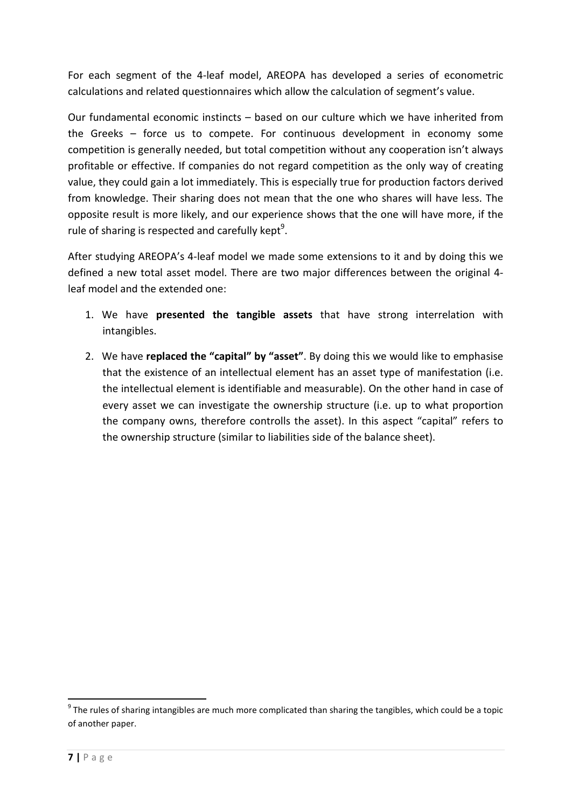For each segment of the 4-leaf model, AREOPA has developed a series of econometric calculations and related questionnaires which allow the calculation of segment's value.

Our fundamental economic instincts – based on our culture which we have inherited from the Greeks – force us to compete. For continuous development in economy some competition is generally needed, but total competition without any cooperation isn't always profitable or effective. If companies do not regard competition as the only way of creating value, they could gain a lot immediately. This is especially true for production factors derived from knowledge. Their sharing does not mean that the one who shares will have less. The opposite result is more likely, and our experience shows that the one will have more, if the rule of sharing is respected and carefully kept<sup>9</sup>.

After studying AREOPA's 4-leaf model we made some extensions to it and by doing this we defined a new total asset model. There are two major differences between the original 4 leaf model and the extended one:

- 1. We have **presented the tangible assets** that have strong interrelation with intangibles.
- 2. We have replaced the "capital" by "asset". By doing this we would like to emphasise that the existence of an intellectual element has an asset type of manifestation (i.e. the intellectual element is identifiable and measurable). On the other hand in case of every asset we can investigate the ownership structure (i.e. up to what proportion the company owns, therefore controlls the asset). In this aspect "capital" refers to the ownership structure (similar to liabilities side of the balance sheet).

 $9$  The rules of sharing intangibles are much more complicated than sharing the tangibles, which could be a topic of another paper.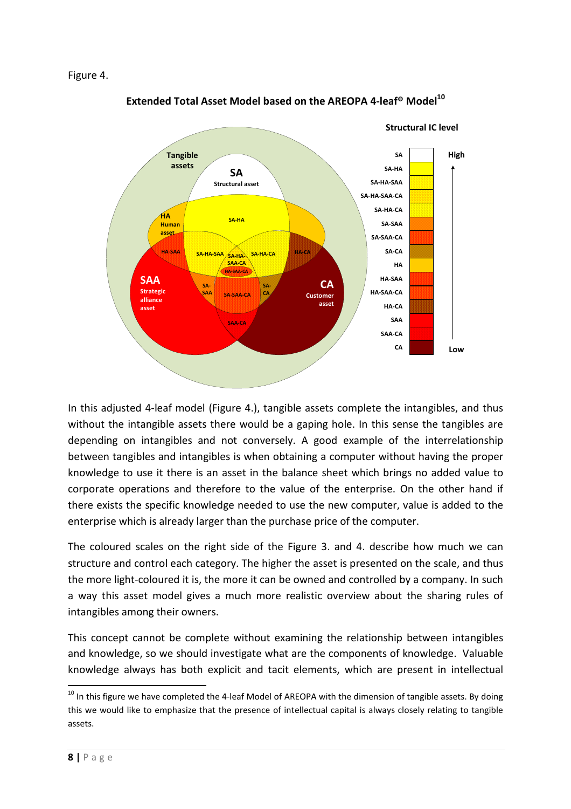

Extended Total Asset Model based on the AREOPA 4-leaf® Model<sup>10</sup>

In this adjusted 4-leaf model (Figure 4.), tangible assets complete the intangibles, and thus without the intangible assets there would be a gaping hole. In this sense the tangibles are depending on intangibles and not conversely. A good example of the interrelationship between tangibles and intangibles is when obtaining a computer without having the proper knowledge to use it there is an asset in the balance sheet which brings no added value to corporate operations and therefore to the value of the enterprise. On the other hand if there exists the specific knowledge needed to use the new computer, value is added to the enterprise which is already larger than the purchase price of the computer.

The coloured scales on the right side of the Figure 3. and 4. describe how much we can structure and control each category. The higher the asset is presented on the scale, and thus the more light-coloured it is, the more it can be owned and controlled by a company. In such a way this asset model gives a much more realistic overview about the sharing rules of intangibles among their owners.

This concept cannot be complete without examining the relationship between intangibles and knowledge, so we should investigate what are the components of knowledge. Valuable knowledge always has both explicit and tacit elements, which are present in intellectual

 $10$  In this figure we have completed the 4-leaf Model of AREOPA with the dimension of tangible assets. By doing this we would like to emphasize that the presence of intellectual capital is always closely relating to tangible assets.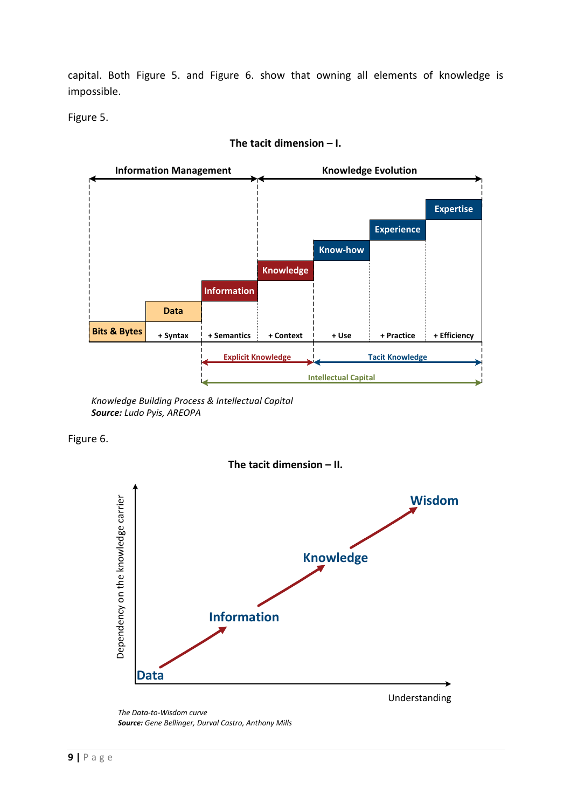capital. Both Figure 5. and Figure 6. show that owning all elements of knowledge is impossible.

Figure 5.



### The tacit dimension – I.

Knowledge Building Process & Intellectual Capital Source: Ludo Pyis, AREOPA

Figure 6.



Understanding

The Data-to-Wisdom curve

Source: Gene Bellinger, Durval Castro, Anthony Mills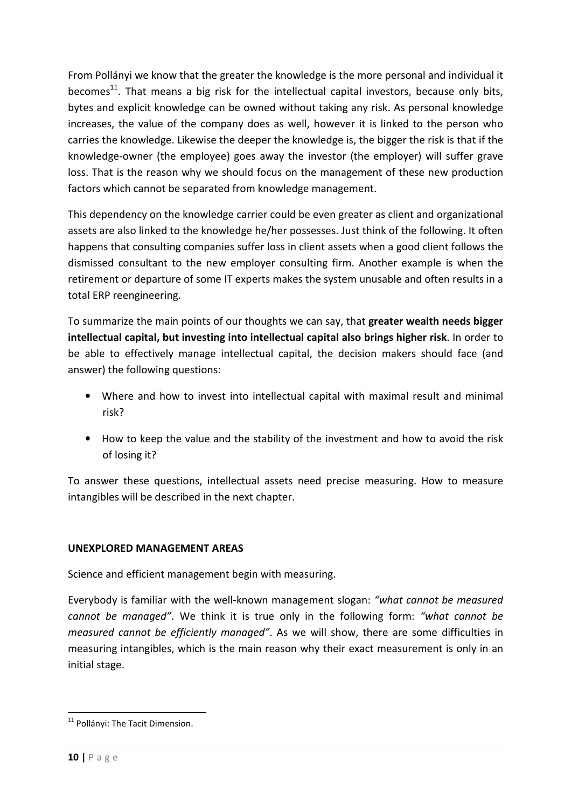From Pollányi we know that the greater the knowledge is the more personal and individual it becomes<sup>11</sup>. That means a big risk for the intellectual capital investors, because only bits, bytes and explicit knowledge can be owned without taking any risk. As personal knowledge increases, the value of the company does as well, however it is linked to the person who carries the knowledge. Likewise the deeper the knowledge is, the bigger the risk is that if the knowledge-owner (the employee) goes away the investor (the employer) will suffer grave loss. That is the reason why we should focus on the management of these new production factors which cannot be separated from knowledge management.

This dependency on the knowledge carrier could be even greater as client and organizational assets are also linked to the knowledge he/her possesses. Just think of the following. It often happens that consulting companies suffer loss in client assets when a good client follows the dismissed consultant to the new employer consulting firm. Another example is when the retirement or departure of some IT experts makes the system unusable and often results in a total ERP reengineering.

To summarize the main points of our thoughts we can say, that greater wealth needs bigger intellectual capital, but investing into intellectual capital also brings higher risk. In order to be able to effectively manage intellectual capital, the decision makers should face (and answer) the following questions:

- Where and how to invest into intellectual capital with maximal result and minimal risk?
- How to keep the value and the stability of the investment and how to avoid the risk of losing it?

To answer these questions, intellectual assets need precise measuring. How to measure intangibles will be described in the next chapter.

## UNEXPLORED MANAGEMENT AREAS

Science and efficient management begin with measuring.

Everybody is familiar with the well-known management slogan: "what cannot be measured cannot be managed". We think it is true only in the following form: "what cannot be measured cannot be efficiently managed". As we will show, there are some difficulties in measuring intangibles, which is the main reason why their exact measurement is only in an initial stage.

<sup>&</sup>lt;sup>11</sup> Pollányi: The Tacit Dimension.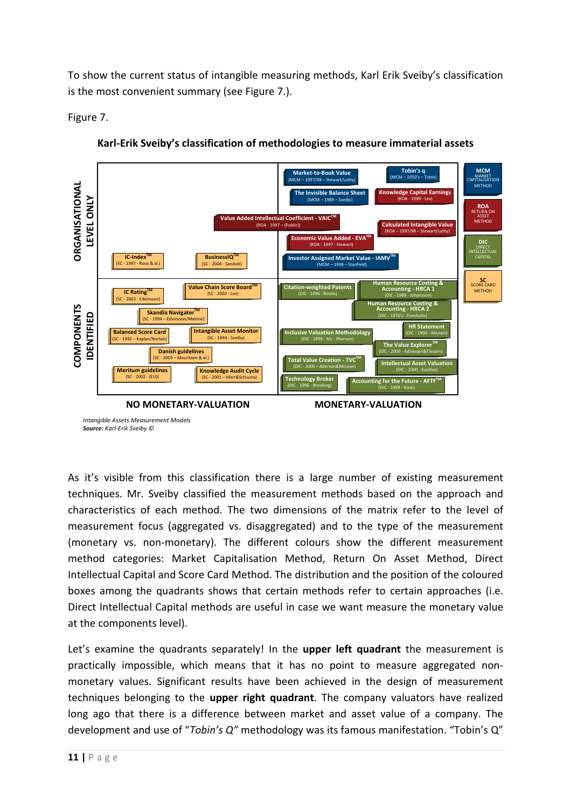To show the current status of intangible measuring methods, Karl Erik Sveiby's classification is the most convenient summary (see Figure 7.).

Figure 7.



Karl-Erik Sveiby's classification of methodologies to measure immaterial assets

As it's visible from this classification there is a large number of existing measurement techniques. Mr. Sveiby classified the measurement methods based on the approach and characteristics of each method. The two dimensions of the matrix refer to the level of measurement focus (aggregated vs. disaggregated) and to the type of the measurement (monetary vs. non-monetary). The different colours show the different measurement method categories: Market Capitalisation Method, Return On Asset Method, Direct Intellectual Capital and Score Card Method. The distribution and the position of the coloured boxes among the quadrants shows that certain methods refer to certain approaches (i.e. Direct Intellectual Capital methods are useful in case we want measure the monetary value at the components level).

Let's examine the quadrants separately! In the upper left quadrant the measurement is practically impossible, which means that it has no point to measure aggregated nonmonetary values. Significant results have been achieved in the design of measurement techniques belonging to the upper right quadrant. The company valuators have realized long ago that there is a difference between market and asset value of a company. The development and use of "Tobin's Q" methodology was its famous manifestation. "Tobin's Q"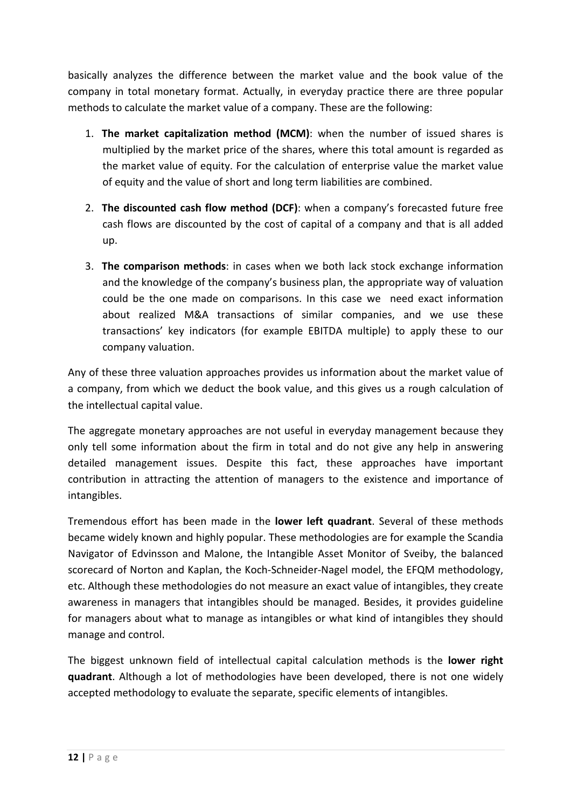basically analyzes the difference between the market value and the book value of the company in total monetary format. Actually, in everyday practice there are three popular methods to calculate the market value of a company. These are the following:

- 1. The market capitalization method (MCM): when the number of issued shares is multiplied by the market price of the shares, where this total amount is regarded as the market value of equity. For the calculation of enterprise value the market value of equity and the value of short and long term liabilities are combined.
- 2. The discounted cash flow method (DCF): when a company's forecasted future free cash flows are discounted by the cost of capital of a company and that is all added up.
- 3. The comparison methods: in cases when we both lack stock exchange information and the knowledge of the company's business plan, the appropriate way of valuation could be the one made on comparisons. In this case we need exact information about realized M&A transactions of similar companies, and we use these transactions' key indicators (for example EBITDA multiple) to apply these to our company valuation.

Any of these three valuation approaches provides us information about the market value of a company, from which we deduct the book value, and this gives us a rough calculation of the intellectual capital value.

The aggregate monetary approaches are not useful in everyday management because they only tell some information about the firm in total and do not give any help in answering detailed management issues. Despite this fact, these approaches have important contribution in attracting the attention of managers to the existence and importance of intangibles.

Tremendous effort has been made in the lower left quadrant. Several of these methods became widely known and highly popular. These methodologies are for example the Scandia Navigator of Edvinsson and Malone, the Intangible Asset Monitor of Sveiby, the balanced scorecard of Norton and Kaplan, the Koch-Schneider-Nagel model, the EFQM methodology, etc. Although these methodologies do not measure an exact value of intangibles, they create awareness in managers that intangibles should be managed. Besides, it provides guideline for managers about what to manage as intangibles or what kind of intangibles they should manage and control.

The biggest unknown field of intellectual capital calculation methods is the **lower right** quadrant. Although a lot of methodologies have been developed, there is not one widely accepted methodology to evaluate the separate, specific elements of intangibles.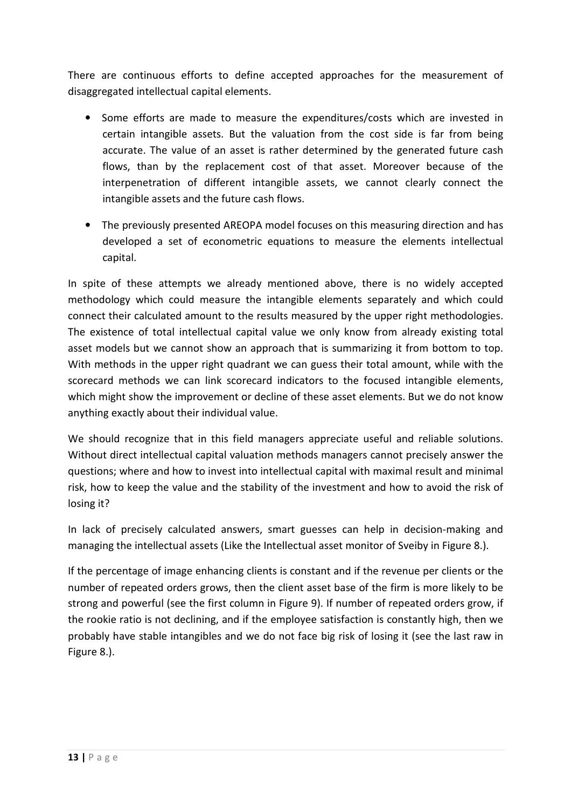There are continuous efforts to define accepted approaches for the measurement of disaggregated intellectual capital elements.

- Some efforts are made to measure the expenditures/costs which are invested in certain intangible assets. But the valuation from the cost side is far from being accurate. The value of an asset is rather determined by the generated future cash flows, than by the replacement cost of that asset. Moreover because of the interpenetration of different intangible assets, we cannot clearly connect the intangible assets and the future cash flows.
- The previously presented AREOPA model focuses on this measuring direction and has developed a set of econometric equations to measure the elements intellectual capital.

In spite of these attempts we already mentioned above, there is no widely accepted methodology which could measure the intangible elements separately and which could connect their calculated amount to the results measured by the upper right methodologies. The existence of total intellectual capital value we only know from already existing total asset models but we cannot show an approach that is summarizing it from bottom to top. With methods in the upper right quadrant we can guess their total amount, while with the scorecard methods we can link scorecard indicators to the focused intangible elements, which might show the improvement or decline of these asset elements. But we do not know anything exactly about their individual value.

We should recognize that in this field managers appreciate useful and reliable solutions. Without direct intellectual capital valuation methods managers cannot precisely answer the questions; where and how to invest into intellectual capital with maximal result and minimal risk, how to keep the value and the stability of the investment and how to avoid the risk of losing it?

In lack of precisely calculated answers, smart guesses can help in decision-making and managing the intellectual assets (Like the Intellectual asset monitor of Sveiby in Figure 8.).

If the percentage of image enhancing clients is constant and if the revenue per clients or the number of repeated orders grows, then the client asset base of the firm is more likely to be strong and powerful (see the first column in Figure 9). If number of repeated orders grow, if the rookie ratio is not declining, and if the employee satisfaction is constantly high, then we probably have stable intangibles and we do not face big risk of losing it (see the last raw in Figure 8.).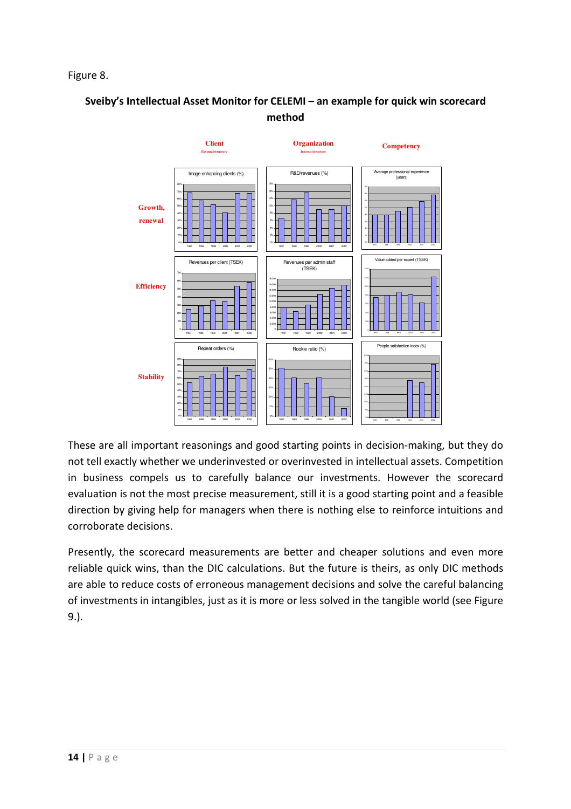## Figure 8.

# Sveiby's Intellectual Asset Monitor for CELEMI – an example for quick win scorecard method



These are all important reasonings and good starting points in decision-making, but they do not tell exactly whether we underinvested or overinvested in intellectual assets. Competition in business compels us to carefully balance our investments. However the scorecard evaluation is not the most precise measurement, still it is a good starting point and a feasible direction by giving help for managers when there is nothing else to reinforce intuitions and corroborate decisions.

Presently, the scorecard measurements are better and cheaper solutions and even more reliable quick wins, than the DIC calculations. But the future is theirs, as only DIC methods are able to reduce costs of erroneous management decisions and solve the careful balancing of investments in intangibles, just as it is more or less solved in the tangible world (see Figure 9.).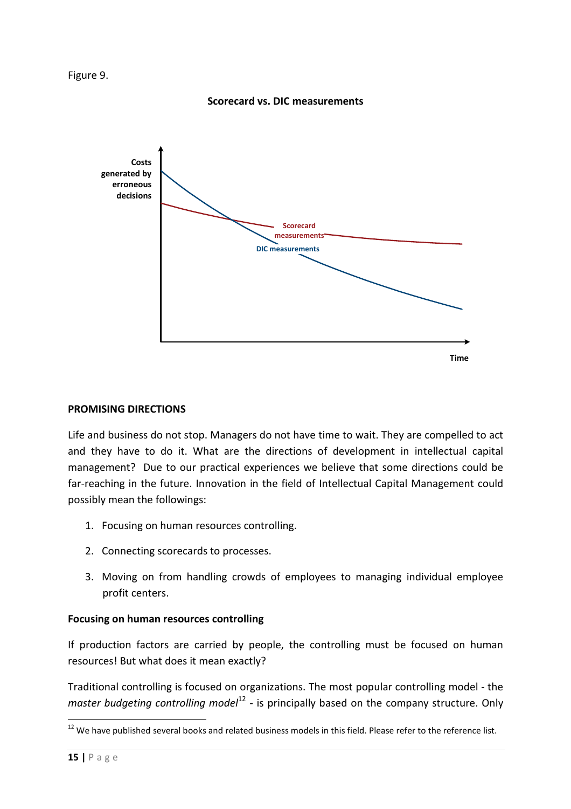

#### Scorecard vs. DIC measurements



#### PROMISING DIRECTIONS

Life and business do not stop. Managers do not have time to wait. They are compelled to act and they have to do it. What are the directions of development in intellectual capital management? Due to our practical experiences we believe that some directions could be far-reaching in the future. Innovation in the field of Intellectual Capital Management could possibly mean the followings:

- 1. Focusing on human resources controlling.
- 2. Connecting scorecards to processes.
- 3. Moving on from handling crowds of employees to managing individual employee profit centers.

## Focusing on human resources controlling

If production factors are carried by people, the controlling must be focused on human resources! But what does it mean exactly?

Traditional controlling is focused on organizations. The most popular controlling model - the master budgeting controlling model<sup>12</sup> - is principally based on the company structure. Only

 $12$  We have published several books and related business models in this field. Please refer to the reference list.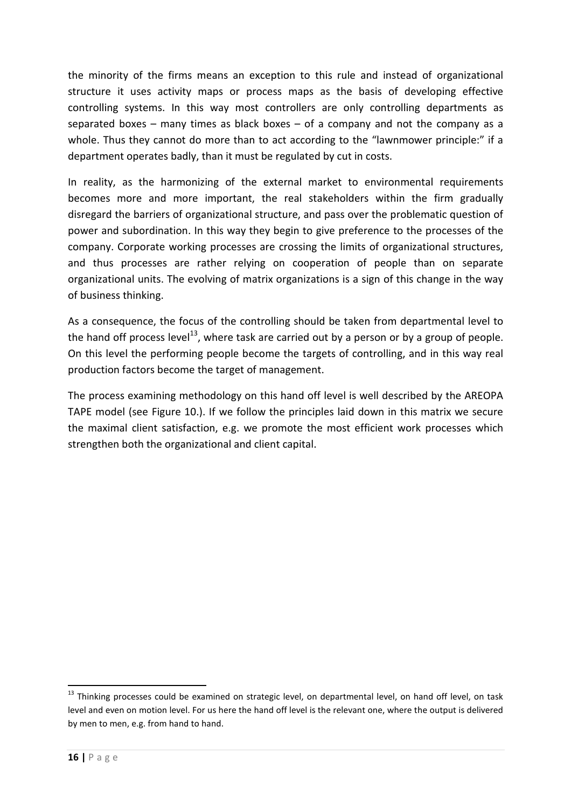the minority of the firms means an exception to this rule and instead of organizational structure it uses activity maps or process maps as the basis of developing effective controlling systems. In this way most controllers are only controlling departments as separated boxes – many times as black boxes – of a company and not the company as a whole. Thus they cannot do more than to act according to the "lawnmower principle:" if a department operates badly, than it must be regulated by cut in costs.

In reality, as the harmonizing of the external market to environmental requirements becomes more and more important, the real stakeholders within the firm gradually disregard the barriers of organizational structure, and pass over the problematic question of power and subordination. In this way they begin to give preference to the processes of the company. Corporate working processes are crossing the limits of organizational structures, and thus processes are rather relying on cooperation of people than on separate organizational units. The evolving of matrix organizations is a sign of this change in the way of business thinking.

As a consequence, the focus of the controlling should be taken from departmental level to the hand off process level<sup>13</sup>, where task are carried out by a person or by a group of people. On this level the performing people become the targets of controlling, and in this way real production factors become the target of management.

The process examining methodology on this hand off level is well described by the AREOPA TAPE model (see Figure 10.). If we follow the principles laid down in this matrix we secure the maximal client satisfaction, e.g. we promote the most efficient work processes which strengthen both the organizational and client capital.

<sup>&</sup>lt;sup>13</sup> Thinking processes could be examined on strategic level, on departmental level, on hand off level, on task level and even on motion level. For us here the hand off level is the relevant one, where the output is delivered by men to men, e.g. from hand to hand.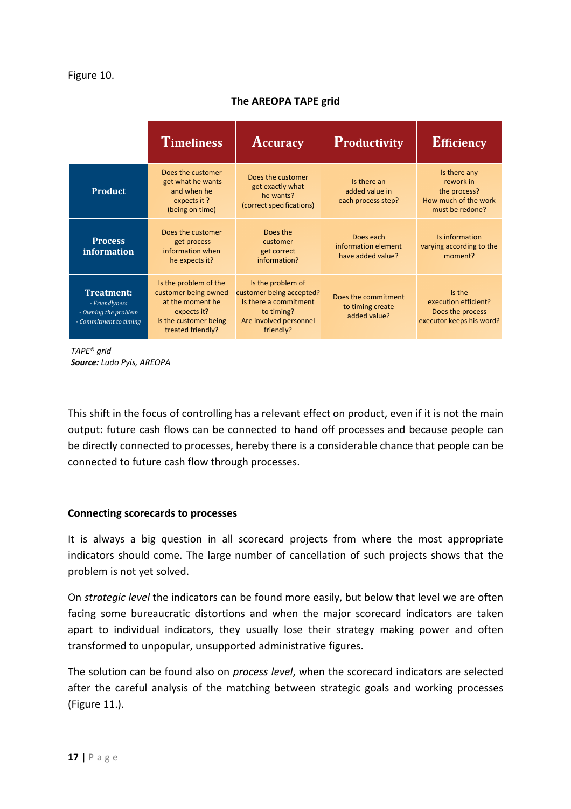## The AREOPA TAPE grid

|                                                                                       | <b>Timeliness</b>                                                                                                              | <b>Accuracy</b>                                                                                                             | Productivity                                            | <b>Efficiency</b>                                                                    |
|---------------------------------------------------------------------------------------|--------------------------------------------------------------------------------------------------------------------------------|-----------------------------------------------------------------------------------------------------------------------------|---------------------------------------------------------|--------------------------------------------------------------------------------------|
| <b>Product</b>                                                                        | Does the customer<br>get what he wants<br>and when he<br>expects it?<br>(being on time)                                        | Does the customer<br>get exactly what<br>he wants?<br>(correct specifications)                                              | Is there an<br>added value in<br>each process step?     | Is there any<br>rework in<br>the process?<br>How much of the work<br>must be redone? |
| <b>Process</b><br>information                                                         | Does the customer<br>get process<br>information when<br>he expects it?                                                         | Does the<br>customer<br>get correct<br>information?                                                                         | Does each<br>information element<br>have added value?   | Is information<br>varying according to the<br>moment?                                |
| <b>Treatment:</b><br>- Friendlyness<br>- Owning the problem<br>- Commitment to timing | Is the problem of the<br>customer being owned<br>at the moment he<br>expects it?<br>Is the customer being<br>treated friendly? | Is the problem of<br>customer being accepted?<br>Is there a commitment<br>to timing?<br>Are involved personnel<br>friendly? | Does the commitment<br>to timing create<br>added value? | Is the<br>execution efficient?<br>Does the process<br>executor keeps his word?       |

TAPE® grid Source: Ludo Pyis, AREOPA

This shift in the focus of controlling has a relevant effect on product, even if it is not the main output: future cash flows can be connected to hand off processes and because people can be directly connected to processes, hereby there is a considerable chance that people can be connected to future cash flow through processes.

#### Connecting scorecards to processes

It is always a big question in all scorecard projects from where the most appropriate indicators should come. The large number of cancellation of such projects shows that the problem is not yet solved.

On strategic level the indicators can be found more easily, but below that level we are often facing some bureaucratic distortions and when the major scorecard indicators are taken apart to individual indicators, they usually lose their strategy making power and often transformed to unpopular, unsupported administrative figures.

The solution can be found also on process level, when the scorecard indicators are selected after the careful analysis of the matching between strategic goals and working processes (Figure 11.).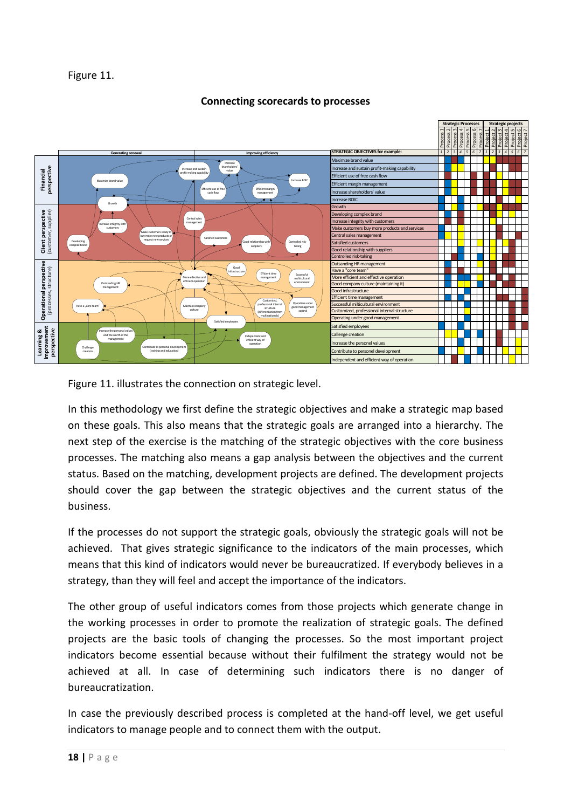### Figure 11.

### Connecting scorecards to processes





In this methodology we first define the strategic objectives and make a strategic map based on these goals. This also means that the strategic goals are arranged into a hierarchy. The next step of the exercise is the matching of the strategic objectives with the core business processes. The matching also means a gap analysis between the objectives and the current status. Based on the matching, development projects are defined. The development projects should cover the gap between the strategic objectives and the current status of the business.

If the processes do not support the strategic goals, obviously the strategic goals will not be achieved. That gives strategic significance to the indicators of the main processes, which means that this kind of indicators would never be bureaucratized. If everybody believes in a strategy, than they will feel and accept the importance of the indicators.

The other group of useful indicators comes from those projects which generate change in the working processes in order to promote the realization of strategic goals. The defined projects are the basic tools of changing the processes. So the most important project indicators become essential because without their fulfilment the strategy would not be achieved at all. In case of determining such indicators there is no danger of bureaucratization.

In case the previously described process is completed at the hand-off level, we get useful indicators to manage people and to connect them with the output.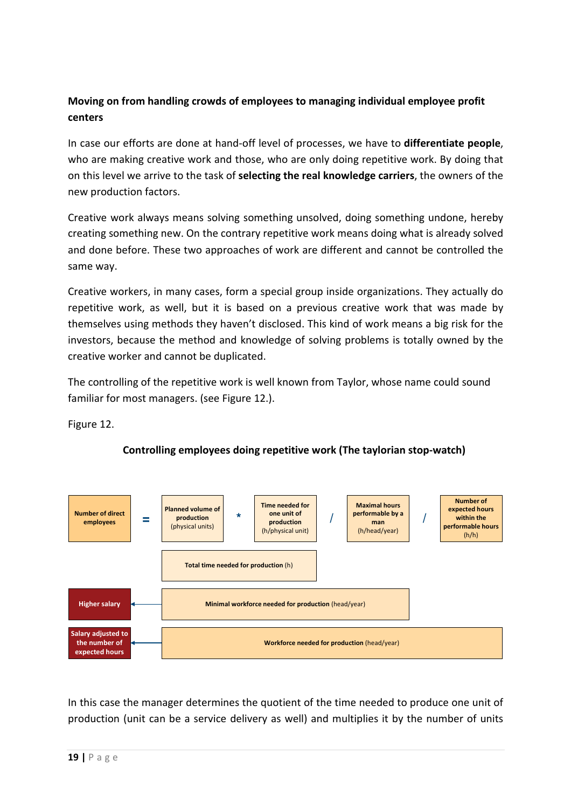# Moving on from handling crowds of employees to managing individual employee profit centers

In case our efforts are done at hand-off level of processes, we have to **differentiate people**, who are making creative work and those, who are only doing repetitive work. By doing that on this level we arrive to the task of selecting the real knowledge carriers, the owners of the new production factors.

Creative work always means solving something unsolved, doing something undone, hereby creating something new. On the contrary repetitive work means doing what is already solved and done before. These two approaches of work are different and cannot be controlled the same way.

Creative workers, in many cases, form a special group inside organizations. They actually do repetitive work, as well, but it is based on a previous creative work that was made by themselves using methods they haven't disclosed. This kind of work means a big risk for the investors, because the method and knowledge of solving problems is totally owned by the creative worker and cannot be duplicated.

The controlling of the repetitive work is well known from Taylor, whose name could sound familiar for most managers. (see Figure 12.).

Figure 12.



# Controlling employees doing repetitive work (The taylorian stop-watch)

In this case the manager determines the quotient of the time needed to produce one unit of production (unit can be a service delivery as well) and multiplies it by the number of units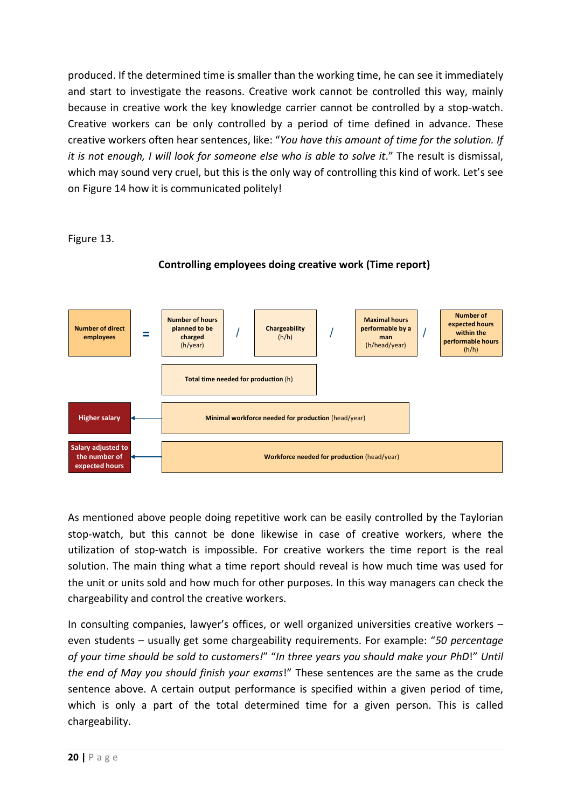produced. If the determined time is smaller than the working time, he can see it immediately and start to investigate the reasons. Creative work cannot be controlled this way, mainly because in creative work the key knowledge carrier cannot be controlled by a stop-watch. Creative workers can be only controlled by a period of time defined in advance. These creative workers often hear sentences, like: "You have this amount of time for the solution. If it is not enough, I will look for someone else who is able to solve it." The result is dismissal, which may sound very cruel, but this is the only way of controlling this kind of work. Let's see on Figure 14 how it is communicated politely!

Figure 13.



Controlling employees doing creative work (Time report)

As mentioned above people doing repetitive work can be easily controlled by the Taylorian stop-watch, but this cannot be done likewise in case of creative workers, where the utilization of stop-watch is impossible. For creative workers the time report is the real solution. The main thing what a time report should reveal is how much time was used for the unit or units sold and how much for other purposes. In this way managers can check the chargeability and control the creative workers.

In consulting companies, lawyer's offices, or well organized universities creative workers – even students – usually get some chargeability requirements. For example: "50 percentage of your time should be sold to customers!" "In three years you should make your PhD!" Until the end of May you should finish your exams!" These sentences are the same as the crude sentence above. A certain output performance is specified within a given period of time, which is only a part of the total determined time for a given person. This is called chargeability.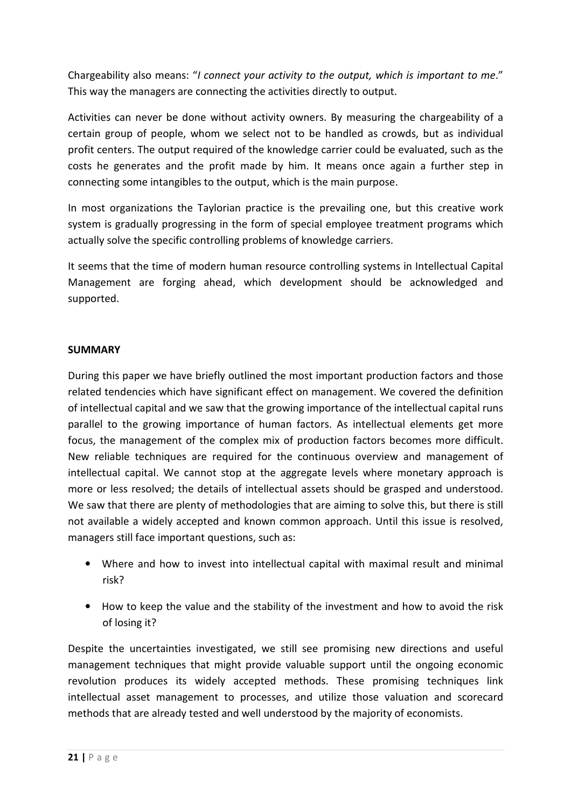Chargeability also means: "I connect your activity to the output, which is important to me." This way the managers are connecting the activities directly to output.

Activities can never be done without activity owners. By measuring the chargeability of a certain group of people, whom we select not to be handled as crowds, but as individual profit centers. The output required of the knowledge carrier could be evaluated, such as the costs he generates and the profit made by him. It means once again a further step in connecting some intangibles to the output, which is the main purpose.

In most organizations the Taylorian practice is the prevailing one, but this creative work system is gradually progressing in the form of special employee treatment programs which actually solve the specific controlling problems of knowledge carriers.

It seems that the time of modern human resource controlling systems in Intellectual Capital Management are forging ahead, which development should be acknowledged and supported.

## SUMMARY

During this paper we have briefly outlined the most important production factors and those related tendencies which have significant effect on management. We covered the definition of intellectual capital and we saw that the growing importance of the intellectual capital runs parallel to the growing importance of human factors. As intellectual elements get more focus, the management of the complex mix of production factors becomes more difficult. New reliable techniques are required for the continuous overview and management of intellectual capital. We cannot stop at the aggregate levels where monetary approach is more or less resolved; the details of intellectual assets should be grasped and understood. We saw that there are plenty of methodologies that are aiming to solve this, but there is still not available a widely accepted and known common approach. Until this issue is resolved, managers still face important questions, such as:

- Where and how to invest into intellectual capital with maximal result and minimal risk?
- How to keep the value and the stability of the investment and how to avoid the risk of losing it?

Despite the uncertainties investigated, we still see promising new directions and useful management techniques that might provide valuable support until the ongoing economic revolution produces its widely accepted methods. These promising techniques link intellectual asset management to processes, and utilize those valuation and scorecard methods that are already tested and well understood by the majority of economists.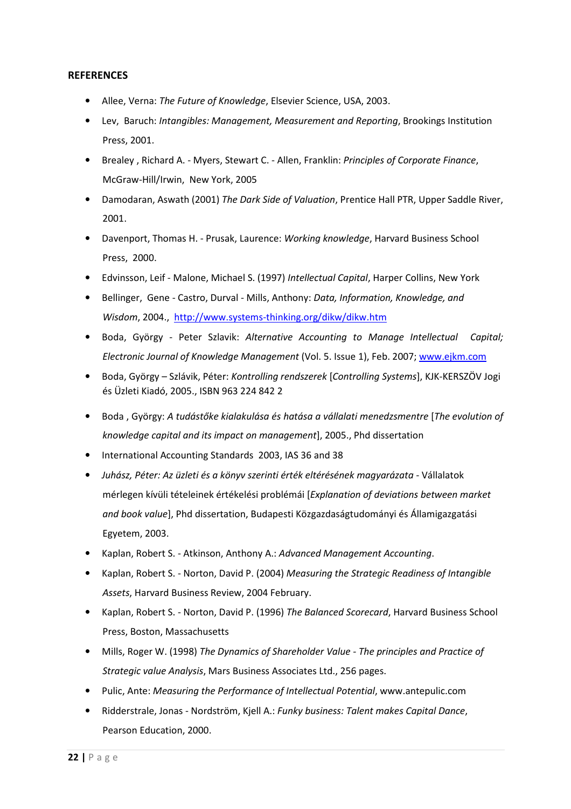#### **REFERENCES**

- Allee, Verna: The Future of Knowledge, Elsevier Science, USA, 2003.
- Lev, Baruch: Intangibles: Management, Measurement and Reporting, Brookings Institution Press, 2001.
- Brealey , Richard A. Myers, Stewart C. Allen, Franklin: Principles of Corporate Finance, McGraw-Hill/Irwin, New York, 2005
- Damodaran, Aswath (2001) The Dark Side of Valuation, Prentice Hall PTR, Upper Saddle River, 2001.
- Davenport, Thomas H. Prusak, Laurence: Working knowledge, Harvard Business School Press, 2000.
- Edvinsson, Leif Malone, Michael S. (1997) Intellectual Capital, Harper Collins, New York
- Bellinger, Gene Castro, Durval Mills, Anthony: Data, Information, Knowledge, and Wisdom, 2004., http://www.systems-thinking.org/dikw/dikw.htm
- Boda, György Peter Szlavik: Alternative Accounting to Manage Intellectual Capital; Electronic Journal of Knowledge Management (Vol. 5. Issue 1), Feb. 2007; www.ejkm.com
- Boda, György Szlávik, Péter: Kontrolling rendszerek [Controlling Systems], KJK-KERSZÖV Jogi és Üzleti Kiadó, 2005., ISBN 963 224 842 2
- Boda, György: A tudástőke kialakulása és hatása a vállalati menedzsmentre [The evolution of knowledge capital and its impact on management], 2005., Phd dissertation
- International Accounting Standards 2003, IAS 36 and 38
- Juhász, Péter: Az üzleti és a könyv szerinti érték eltérésének magyarázata Vállalatok mérlegen kívüli tételeinek értékelési problémái [Explanation of deviations between market and book value], Phd dissertation, Budapesti Közgazdaságtudományi és Államigazgatási Egyetem, 2003.
- Kaplan, Robert S. Atkinson, Anthony A.: Advanced Management Accounting.
- Kaplan, Robert S. Norton, David P. (2004) Measuring the Strategic Readiness of Intangible Assets, Harvard Business Review, 2004 February.
- Kaplan, Robert S. Norton, David P. (1996) The Balanced Scorecard, Harvard Business School Press, Boston, Massachusetts
- Mills, Roger W. (1998) The Dynamics of Shareholder Value The principles and Practice of Strategic value Analysis, Mars Business Associates Ltd., 256 pages.
- Pulic, Ante: Measuring the Performance of Intellectual Potential, www.antepulic.com
- Ridderstrale, Jonas Nordström, Kjell A.: Funky business: Talent makes Capital Dance, Pearson Education, 2000.